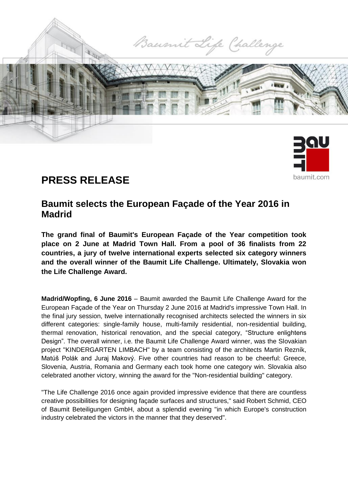

# **PRESS RELEASE**

# **Baumit selects the European Façade of the Year 2016 in Madrid**

baumit com

**The grand final of Baumit's European Façade of the Year competition took place on 2 June at Madrid Town Hall. From a pool of 36 finalists from 22 countries, a jury of twelve international experts selected six category winners and the overall winner of the Baumit Life Challenge. Ultimately, Slovakia won the Life Challenge Award.**

**Madrid/Wopfing, 6 June 2016** – Baumit awarded the Baumit Life Challenge Award for the European Façade of the Year on Thursday 2 June 2016 at Madrid's impressive Town Hall. In the final jury session, twelve internationally recognised architects selected the winners in six different categories: single-family house, multi-family residential, non-residential building, thermal renovation, historical renovation, and the special category, "Structure enlightens Design". The overall winner, i.e. the Baumit Life Challenge Award winner, was the Slovakian project "KINDERGARTEN LIMBACH" by a team consisting of the architects Martin Rezník, Matúš Polák and Juraj Makový. Five other countries had reason to be cheerful: Greece, Slovenia, Austria, Romania and Germany each took home one category win. Slovakia also celebrated another victory, winning the award for the "Non-residential building" category.

"The Life Challenge 2016 once again provided impressive evidence that there are countless creative possibilities for designing façade surfaces and structures," said Robert Schmid, CEO of Baumit Beteiligungen GmbH, about a splendid evening "in which Europe's construction industry celebrated the victors in the manner that they deserved".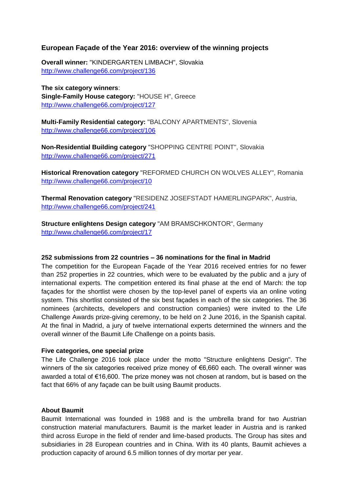## **European Façade of the Year 2016: overview of the winning projects**

**Overall winner:** "KINDERGARTEN LIMBACH", Slovakia <http://www.challenge66.com/project/136>

**The six category winners**: **Single-Family House category:** "HOUSE H", Greece <http://www.challenge66.com/project/127>

**Multi-Family Residential category:** "BALCONY APARTMENTS", Slovenia <http://www.challenge66.com/project/106>

**Non-Residential Building category** "SHOPPING CENTRE POINT", Slovakia <http://www.challenge66.com/project/271>

**Historical Rrenovation category** "REFORMED CHURCH ON WOLVES ALLEY", Romania <http://www.challenge66.com/project/10>

**Thermal Renovation category** "RESIDENZ JOSEFSTADT HAMERLINGPARK", Austria, <http://www.challenge66.com/project/241>

**Structure enlightens Design category** "AM BRAMSCHKONTOR", Germany <http://www.challenge66.com/project/17>

### **252 submissions from 22 countries – 36 nominations for the final in Madrid**

The competition for the European Façade of the Year 2016 received entries for no fewer than 252 properties in 22 countries, which were to be evaluated by the public and a jury of international experts. The competition entered its final phase at the end of March: the top façades for the shortlist were chosen by the top-level panel of experts via an online voting system. This shortlist consisted of the six best façades in each of the six categories. The 36 nominees (architects, developers and construction companies) were invited to the Life Challenge Awards prize-giving ceremony, to be held on 2 June 2016, in the Spanish capital. At the final in Madrid, a jury of twelve international experts determined the winners and the overall winner of the Baumit Life Challenge on a points basis.

### **Five categories, one special prize**

The Life Challenge 2016 took place under the motto "Structure enlightens Design". The winners of the six categories received prize money of €6,660 each. The overall winner was awarded a total of €16,600. The prize money was not chosen at random, but is based on the fact that 66% of any façade can be built using Baumit products.

### **About Baumit**

Baumit International was founded in 1988 and is the umbrella brand for two Austrian construction material manufacturers. Baumit is the market leader in Austria and is ranked third across Europe in the field of render and lime-based products. The Group has sites and subsidiaries in 28 European countries and in China. With its 40 plants, Baumit achieves a production capacity of around 6.5 million tonnes of dry mortar per year.